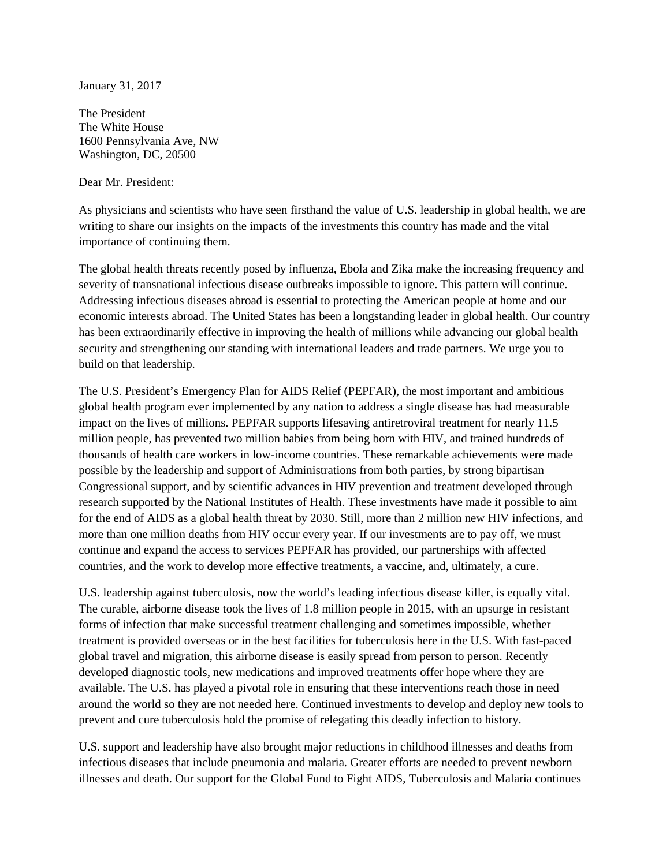January 31, 2017

The President The White House 1600 Pennsylvania Ave, NW Washington, DC, 20500

Dear Mr. President:

As physicians and scientists who have seen firsthand the value of U.S. leadership in global health, we are writing to share our insights on the impacts of the investments this country has made and the vital importance of continuing them.

The global health threats recently posed by influenza, Ebola and Zika make the increasing frequency and severity of transnational infectious disease outbreaks impossible to ignore. This pattern will continue. Addressing infectious diseases abroad is essential to protecting the American people at home and our economic interests abroad. The United States has been a longstanding leader in global health. Our country has been extraordinarily effective in improving the health of millions while advancing our global health security and strengthening our standing with international leaders and trade partners. We urge you to build on that leadership.

The U.S. President's Emergency Plan for AIDS Relief (PEPFAR), the most important and ambitious global health program ever implemented by any nation to address a single disease has had measurable impact on the lives of millions. PEPFAR supports lifesaving antiretroviral treatment for nearly 11.5 million people, has prevented two million babies from being born with HIV, and trained hundreds of thousands of health care workers in low-income countries. These remarkable achievements were made possible by the leadership and support of Administrations from both parties, by strong bipartisan Congressional support, and by scientific advances in HIV prevention and treatment developed through research supported by the National Institutes of Health. These investments have made it possible to aim for the end of AIDS as a global health threat by 2030. Still, more than 2 million new HIV infections, and more than one million deaths from HIV occur every year. If our investments are to pay off, we must continue and expand the access to services PEPFAR has provided, our partnerships with affected countries, and the work to develop more effective treatments, a vaccine, and, ultimately, a cure.

U.S. leadership against tuberculosis, now the world's leading infectious disease killer, is equally vital. The curable, airborne disease took the lives of 1.8 million people in 2015, with an upsurge in resistant forms of infection that make successful treatment challenging and sometimes impossible, whether treatment is provided overseas or in the best facilities for tuberculosis here in the U.S. With fast-paced global travel and migration, this airborne disease is easily spread from person to person. Recently developed diagnostic tools, new medications and improved treatments offer hope where they are available. The U.S. has played a pivotal role in ensuring that these interventions reach those in need around the world so they are not needed here. Continued investments to develop and deploy new tools to prevent and cure tuberculosis hold the promise of relegating this deadly infection to history.

U.S. support and leadership have also brought major reductions in childhood illnesses and deaths from infectious diseases that include pneumonia and malaria. Greater efforts are needed to prevent newborn illnesses and death. Our support for the Global Fund to Fight AIDS, Tuberculosis and Malaria continues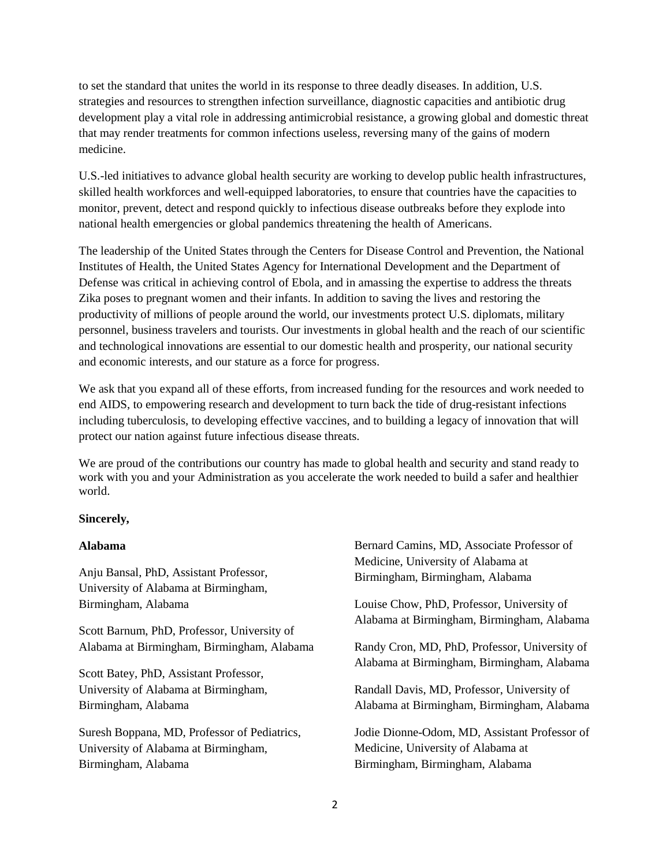to set the standard that unites the world in its response to three deadly diseases. In addition, U.S. strategies and resources to strengthen infection surveillance, diagnostic capacities and antibiotic drug development play a vital role in addressing antimicrobial resistance, a growing global and domestic threat that may render treatments for common infections useless, reversing many of the gains of modern medicine.

U.S.-led initiatives to advance global health security are working to develop public health infrastructures, skilled health workforces and well-equipped laboratories, to ensure that countries have the capacities to monitor, prevent, detect and respond quickly to infectious disease outbreaks before they explode into national health emergencies or global pandemics threatening the health of Americans.

The leadership of the United States through the Centers for Disease Control and Prevention, the National Institutes of Health, the United States Agency for International Development and the Department of Defense was critical in achieving control of Ebola, and in amassing the expertise to address the threats Zika poses to pregnant women and their infants. In addition to saving the lives and restoring the productivity of millions of people around the world, our investments protect U.S. diplomats, military personnel, business travelers and tourists. Our investments in global health and the reach of our scientific and technological innovations are essential to our domestic health and prosperity, our national security and economic interests, and our stature as a force for progress.

We ask that you expand all of these efforts, from increased funding for the resources and work needed to end AIDS, to empowering research and development to turn back the tide of drug-resistant infections including tuberculosis, to developing effective vaccines, and to building a legacy of innovation that will protect our nation against future infectious disease threats.

We are proud of the contributions our country has made to global health and security and stand ready to work with you and your Administration as you accelerate the work needed to build a safer and healthier world.

# **Sincerely,**

# **Alabama**

Anju Bansal, PhD, Assistant Professor, University of Alabama at Birmingham, Birmingham, Alabama

Scott Barnum, PhD, Professor, University of Alabama at Birmingham, Birmingham, Alabama

Scott Batey, PhD, Assistant Professor, University of Alabama at Birmingham, Birmingham, Alabama

Suresh Boppana, MD, Professor of Pediatrics, University of Alabama at Birmingham, Birmingham, Alabama

Bernard Camins, MD, Associate Professor of Medicine, University of Alabama at Birmingham, Birmingham, Alabama

Louise Chow, PhD, Professor, University of Alabama at Birmingham, Birmingham, Alabama

Randy Cron, MD, PhD, Professor, University of Alabama at Birmingham, Birmingham, Alabama

Randall Davis, MD, Professor, University of Alabama at Birmingham, Birmingham, Alabama

Jodie Dionne-Odom, MD, Assistant Professor of Medicine, University of Alabama at Birmingham, Birmingham, Alabama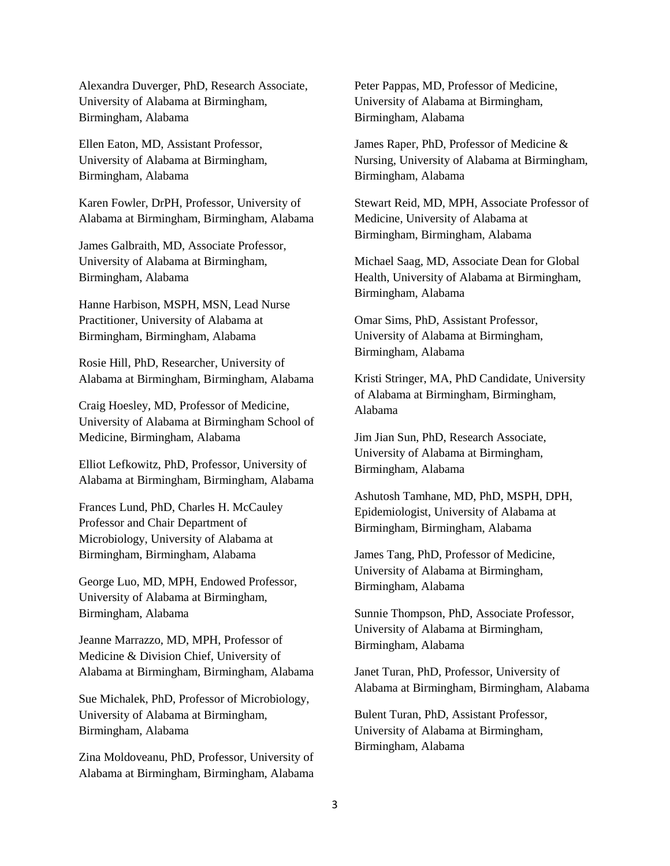Alexandra Duverger, PhD, Research Associate, University of Alabama at Birmingham, Birmingham, Alabama

Ellen Eaton, MD, Assistant Professor, University of Alabama at Birmingham, Birmingham, Alabama

Karen Fowler, DrPH, Professor, University of Alabama at Birmingham, Birmingham, Alabama

James Galbraith, MD, Associate Professor, University of Alabama at Birmingham, Birmingham, Alabama

Hanne Harbison, MSPH, MSN, Lead Nurse Practitioner, University of Alabama at Birmingham, Birmingham, Alabama

Rosie Hill, PhD, Researcher, University of Alabama at Birmingham, Birmingham, Alabama

Craig Hoesley, MD, Professor of Medicine, University of Alabama at Birmingham School of Medicine, Birmingham, Alabama

Elliot Lefkowitz, PhD, Professor, University of Alabama at Birmingham, Birmingham, Alabama

Frances Lund, PhD, Charles H. McCauley Professor and Chair Department of Microbiology, University of Alabama at Birmingham, Birmingham, Alabama

George Luo, MD, MPH, Endowed Professor, University of Alabama at Birmingham, Birmingham, Alabama

Jeanne Marrazzo, MD, MPH, Professor of Medicine & Division Chief, University of Alabama at Birmingham, Birmingham, Alabama

Sue Michalek, PhD, Professor of Microbiology, University of Alabama at Birmingham, Birmingham, Alabama

Zina Moldoveanu, PhD, Professor, University of Alabama at Birmingham, Birmingham, Alabama Peter Pappas, MD, Professor of Medicine, University of Alabama at Birmingham, Birmingham, Alabama

James Raper, PhD, Professor of Medicine & Nursing, University of Alabama at Birmingham, Birmingham, Alabama

Stewart Reid, MD, MPH, Associate Professor of Medicine, University of Alabama at Birmingham, Birmingham, Alabama

Michael Saag, MD, Associate Dean for Global Health, University of Alabama at Birmingham, Birmingham, Alabama

Omar Sims, PhD, Assistant Professor, University of Alabama at Birmingham, Birmingham, Alabama

Kristi Stringer, MA, PhD Candidate, University of Alabama at Birmingham, Birmingham, Alabama

Jim Jian Sun, PhD, Research Associate, University of Alabama at Birmingham, Birmingham, Alabama

Ashutosh Tamhane, MD, PhD, MSPH, DPH, Epidemiologist, University of Alabama at Birmingham, Birmingham, Alabama

James Tang, PhD, Professor of Medicine, University of Alabama at Birmingham, Birmingham, Alabama

Sunnie Thompson, PhD, Associate Professor, University of Alabama at Birmingham, Birmingham, Alabama

Janet Turan, PhD, Professor, University of Alabama at Birmingham, Birmingham, Alabama

Bulent Turan, PhD, Assistant Professor, University of Alabama at Birmingham, Birmingham, Alabama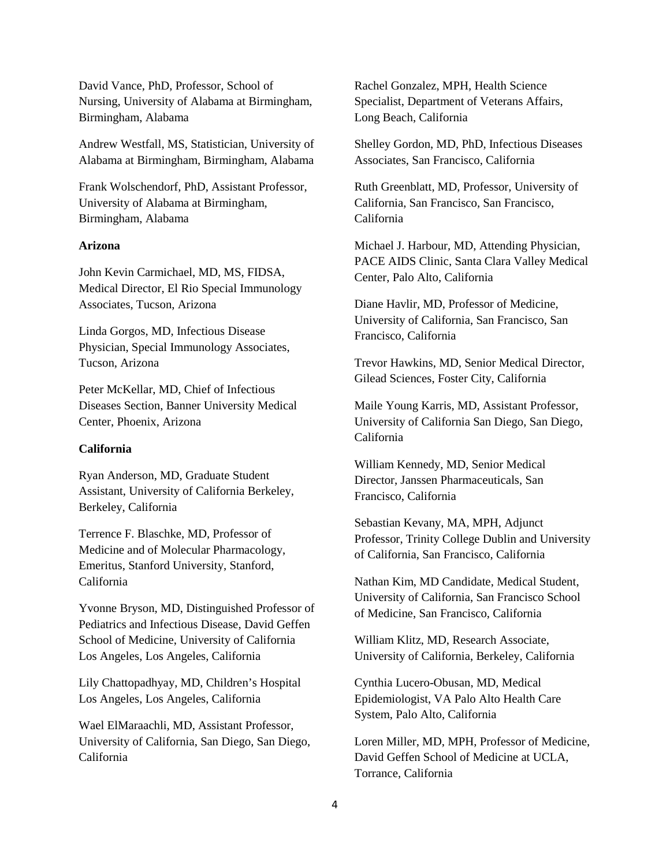David Vance, PhD, Professor, School of Nursing, University of Alabama at Birmingham, Birmingham, Alabama

Andrew Westfall, MS, Statistician, University of Alabama at Birmingham, Birmingham, Alabama

Frank Wolschendorf, PhD, Assistant Professor, University of Alabama at Birmingham, Birmingham, Alabama

## **Arizona**

John Kevin Carmichael, MD, MS, FIDSA, Medical Director, El Rio Special Immunology Associates, Tucson, Arizona

Linda Gorgos, MD, Infectious Disease Physician, Special Immunology Associates, Tucson, Arizona

Peter McKellar, MD, Chief of Infectious Diseases Section, Banner University Medical Center, Phoenix, Arizona

### **California**

Ryan Anderson, MD, Graduate Student Assistant, University of California Berkeley, Berkeley, California

Terrence F. Blaschke, MD, Professor of Medicine and of Molecular Pharmacology, Emeritus, Stanford University, Stanford, California

Yvonne Bryson, MD, Distinguished Professor of Pediatrics and Infectious Disease, David Geffen School of Medicine, University of California Los Angeles, Los Angeles, California

Lily Chattopadhyay, MD, Children's Hospital Los Angeles, Los Angeles, California

Wael ElMaraachli, MD, Assistant Professor, University of California, San Diego, San Diego, California

Rachel Gonzalez, MPH, Health Science Specialist, Department of Veterans Affairs, Long Beach, California

Shelley Gordon, MD, PhD, Infectious Diseases Associates, San Francisco, California

Ruth Greenblatt, MD, Professor, University of California, San Francisco, San Francisco, California

Michael J. Harbour, MD, Attending Physician, PACE AIDS Clinic, Santa Clara Valley Medical Center, Palo Alto, California

Diane Havlir, MD, Professor of Medicine, University of California, San Francisco, San Francisco, California

Trevor Hawkins, MD, Senior Medical Director, Gilead Sciences, Foster City, California

Maile Young Karris, MD, Assistant Professor, University of California San Diego, San Diego, California

William Kennedy, MD, Senior Medical Director, Janssen Pharmaceuticals, San Francisco, California

Sebastian Kevany, MA, MPH, Adjunct Professor, Trinity College Dublin and University of California, San Francisco, California

Nathan Kim, MD Candidate, Medical Student, University of California, San Francisco School of Medicine, San Francisco, California

William Klitz, MD, Research Associate, University of California, Berkeley, California

Cynthia Lucero-Obusan, MD, Medical Epidemiologist, VA Palo Alto Health Care System, Palo Alto, California

Loren Miller, MD, MPH, Professor of Medicine, David Geffen School of Medicine at UCLA, Torrance, California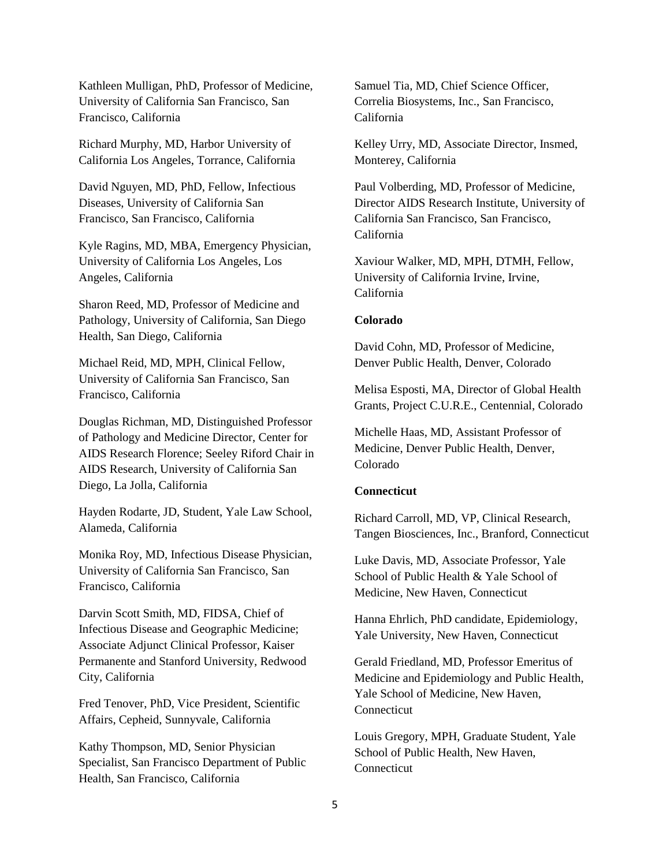Kathleen Mulligan, PhD, Professor of Medicine, University of California San Francisco, San Francisco, California

Richard Murphy, MD, Harbor University of California Los Angeles, Torrance, California

David Nguyen, MD, PhD, Fellow, Infectious Diseases, University of California San Francisco, San Francisco, California

Kyle Ragins, MD, MBA, Emergency Physician, University of California Los Angeles, Los Angeles, California

Sharon Reed, MD, Professor of Medicine and Pathology, University of California, San Diego Health, San Diego, California

Michael Reid, MD, MPH, Clinical Fellow, University of California San Francisco, San Francisco, California

Douglas Richman, MD, Distinguished Professor of Pathology and Medicine Director, Center for AIDS Research Florence; Seeley Riford Chair in AIDS Research, University of California San Diego, La Jolla, California

Hayden Rodarte, JD, Student, Yale Law School, Alameda, California

Monika Roy, MD, Infectious Disease Physician, University of California San Francisco, San Francisco, California

Darvin Scott Smith, MD, FIDSA, Chief of Infectious Disease and Geographic Medicine; Associate Adjunct Clinical Professor, Kaiser Permanente and Stanford University, Redwood City, California

Fred Tenover, PhD, Vice President, Scientific Affairs, Cepheid, Sunnyvale, California

Kathy Thompson, MD, Senior Physician Specialist, San Francisco Department of Public Health, San Francisco, California

Samuel Tia, MD, Chief Science Officer, Correlia Biosystems, Inc., San Francisco, California

Kelley Urry, MD, Associate Director, Insmed, Monterey, California

Paul Volberding, MD, Professor of Medicine, Director AIDS Research Institute, University of California San Francisco, San Francisco, California

Xaviour Walker, MD, MPH, DTMH, Fellow, University of California Irvine, Irvine, California

#### **Colorado**

David Cohn, MD, Professor of Medicine, Denver Public Health, Denver, Colorado

Melisa Esposti, MA, Director of Global Health Grants, Project C.U.R.E., Centennial, Colorado

Michelle Haas, MD, Assistant Professor of Medicine, Denver Public Health, Denver, Colorado

#### **Connecticut**

Richard Carroll, MD, VP, Clinical Research, Tangen Biosciences, Inc., Branford, Connecticut

Luke Davis, MD, Associate Professor, Yale School of Public Health & Yale School of Medicine, New Haven, Connecticut

Hanna Ehrlich, PhD candidate, Epidemiology, Yale University, New Haven, Connecticut

Gerald Friedland, MD, Professor Emeritus of Medicine and Epidemiology and Public Health, Yale School of Medicine, New Haven, Connecticut

Louis Gregory, MPH, Graduate Student, Yale School of Public Health, New Haven, **Connecticut**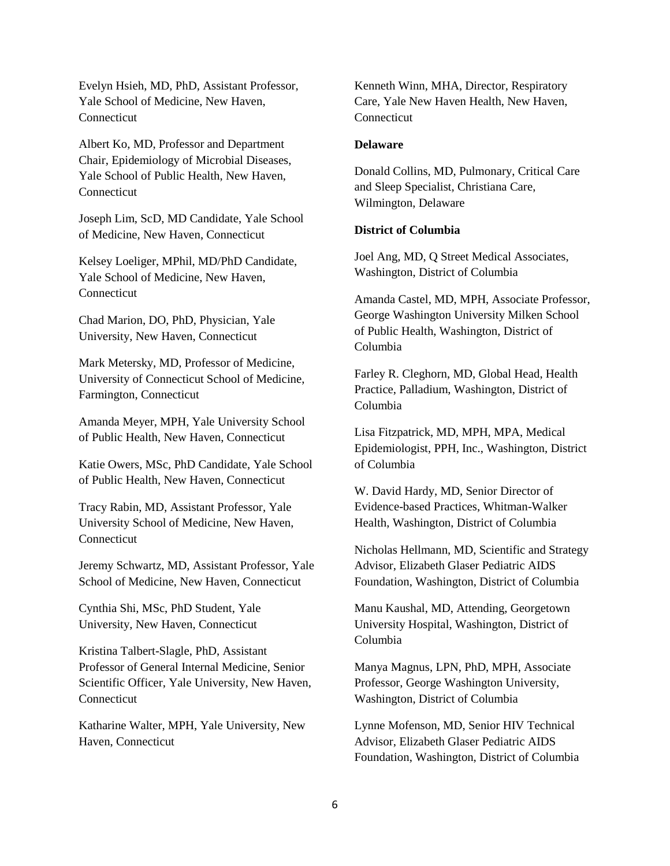Evelyn Hsieh, MD, PhD, Assistant Professor, Yale School of Medicine, New Haven, **Connecticut** 

Albert Ko, MD, Professor and Department Chair, Epidemiology of Microbial Diseases, Yale School of Public Health, New Haven, **Connecticut** 

Joseph Lim, ScD, MD Candidate, Yale School of Medicine, New Haven, Connecticut

Kelsey Loeliger, MPhil, MD/PhD Candidate, Yale School of Medicine, New Haven, Connecticut

Chad Marion, DO, PhD, Physician, Yale University, New Haven, Connecticut

Mark Metersky, MD, Professor of Medicine, University of Connecticut School of Medicine, Farmington, Connecticut

Amanda Meyer, MPH, Yale University School of Public Health, New Haven, Connecticut

Katie Owers, MSc, PhD Candidate, Yale School of Public Health, New Haven, Connecticut

Tracy Rabin, MD, Assistant Professor, Yale University School of Medicine, New Haven, Connecticut

Jeremy Schwartz, MD, Assistant Professor, Yale School of Medicine, New Haven, Connecticut

Cynthia Shi, MSc, PhD Student, Yale University, New Haven, Connecticut

Kristina Talbert-Slagle, PhD, Assistant Professor of General Internal Medicine, Senior Scientific Officer, Yale University, New Haven, Connecticut

Katharine Walter, MPH, Yale University, New Haven, Connecticut

Kenneth Winn, MHA, Director, Respiratory Care, Yale New Haven Health, New Haven, **Connecticut** 

# **Delaware**

Donald Collins, MD, Pulmonary, Critical Care and Sleep Specialist, Christiana Care, Wilmington, Delaware

# **District of Columbia**

Joel Ang, MD, Q Street Medical Associates, Washington, District of Columbia

Amanda Castel, MD, MPH, Associate Professor, George Washington University Milken School of Public Health, Washington, District of Columbia

Farley R. Cleghorn, MD, Global Head, Health Practice, Palladium, Washington, District of Columbia

Lisa Fitzpatrick, MD, MPH, MPA, Medical Epidemiologist, PPH, Inc., Washington, District of Columbia

W. David Hardy, MD, Senior Director of Evidence-based Practices, Whitman-Walker Health, Washington, District of Columbia

Nicholas Hellmann, MD, Scientific and Strategy Advisor, Elizabeth Glaser Pediatric AIDS Foundation, Washington, District of Columbia

Manu Kaushal, MD, Attending, Georgetown University Hospital, Washington, District of Columbia

Manya Magnus, LPN, PhD, MPH, Associate Professor, George Washington University, Washington, District of Columbia

Lynne Mofenson, MD, Senior HIV Technical Advisor, Elizabeth Glaser Pediatric AIDS Foundation, Washington, District of Columbia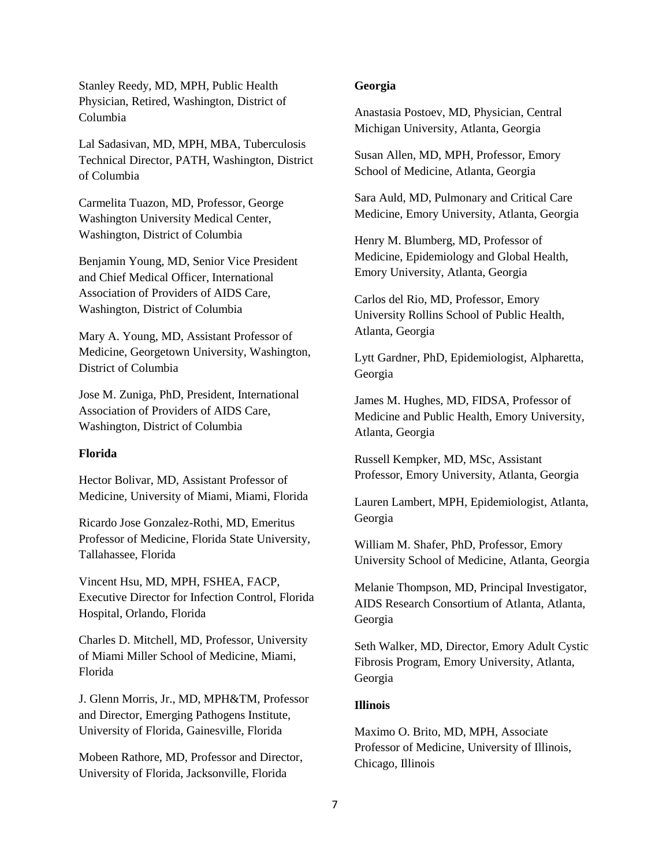Stanley Reedy, MD, MPH, Public Health Physician, Retired, Washington, District of Columbia

Lal Sadasivan, MD, MPH, MBA, Tuberculosis Technical Director, PATH, Washington, District of Columbia

Carmelita Tuazon, MD, Professor, George Washington University Medical Center, Washington, District of Columbia

Benjamin Young, MD, Senior Vice President and Chief Medical Officer, International Association of Providers of AIDS Care, Washington, District of Columbia

Mary A. Young, MD, Assistant Professor of Medicine, Georgetown University, Washington, District of Columbia

Jose M. Zuniga, PhD, President, International Association of Providers of AIDS Care, Washington, District of Columbia

### **Florida**

Hector Bolivar, MD, Assistant Professor of Medicine, University of Miami, Miami, Florida

Ricardo Jose Gonzalez-Rothi, MD, Emeritus Professor of Medicine, Florida State University, Tallahassee, Florida

Vincent Hsu, MD, MPH, FSHEA, FACP, Executive Director for Infection Control, Florida Hospital, Orlando, Florida

Charles D. Mitchell, MD, Professor, University of Miami Miller School of Medicine, Miami, Florida

J. Glenn Morris, Jr., MD, MPH&TM, Professor and Director, Emerging Pathogens Institute, University of Florida, Gainesville, Florida

Mobeen Rathore, MD, Professor and Director, University of Florida, Jacksonville, Florida

### **Georgia**

Anastasia Postoev, MD, Physician, Central Michigan University, Atlanta, Georgia

Susan Allen, MD, MPH, Professor, Emory School of Medicine, Atlanta, Georgia

Sara Auld, MD, Pulmonary and Critical Care Medicine, Emory University, Atlanta, Georgia

Henry M. Blumberg, MD, Professor of Medicine, Epidemiology and Global Health, Emory University, Atlanta, Georgia

Carlos del Rio, MD, Professor, Emory University Rollins School of Public Health, Atlanta, Georgia

Lytt Gardner, PhD, Epidemiologist, Alpharetta, Georgia

James M. Hughes, MD, FIDSA, Professor of Medicine and Public Health, Emory University, Atlanta, Georgia

Russell Kempker, MD, MSc, Assistant Professor, Emory University, Atlanta, Georgia

Lauren Lambert, MPH, Epidemiologist, Atlanta, Georgia

William M. Shafer, PhD, Professor, Emory University School of Medicine, Atlanta, Georgia

Melanie Thompson, MD, Principal Investigator, AIDS Research Consortium of Atlanta, Atlanta, Georgia

Seth Walker, MD, Director, Emory Adult Cystic Fibrosis Program, Emory University, Atlanta, Georgia

# **Illinois**

Maximo O. Brito, MD, MPH, Associate Professor of Medicine, University of Illinois, Chicago, Illinois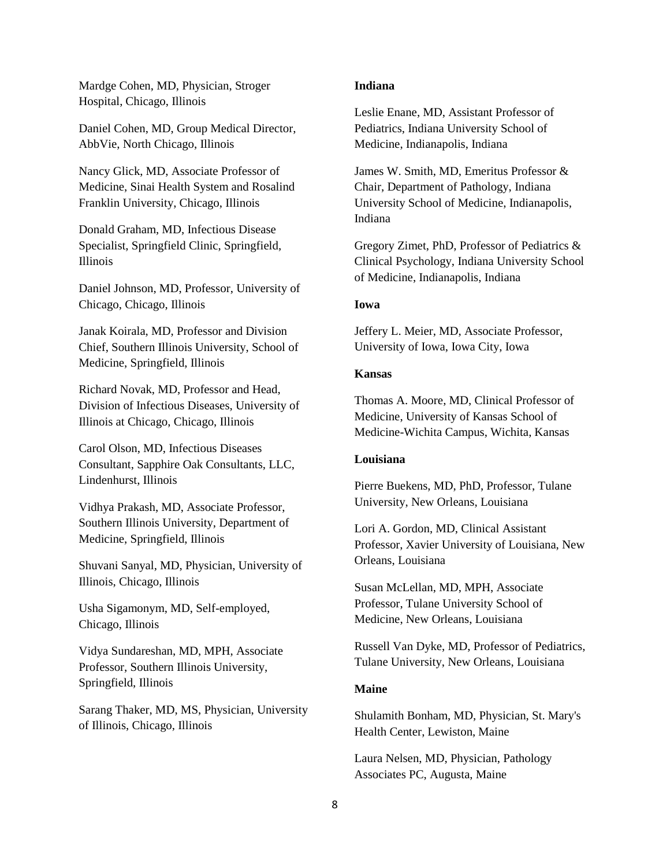Mardge Cohen, MD, Physician, Stroger Hospital, Chicago, Illinois

Daniel Cohen, MD, Group Medical Director, AbbVie, North Chicago, Illinois

Nancy Glick, MD, Associate Professor of Medicine, Sinai Health System and Rosalind Franklin University, Chicago, Illinois

Donald Graham, MD, Infectious Disease Specialist, Springfield Clinic, Springfield, Illinois

Daniel Johnson, MD, Professor, University of Chicago, Chicago, Illinois

Janak Koirala, MD, Professor and Division Chief, Southern Illinois University, School of Medicine, Springfield, Illinois

Richard Novak, MD, Professor and Head, Division of Infectious Diseases, University of Illinois at Chicago, Chicago, Illinois

Carol Olson, MD, Infectious Diseases Consultant, Sapphire Oak Consultants, LLC, Lindenhurst, Illinois

Vidhya Prakash, MD, Associate Professor, Southern Illinois University, Department of Medicine, Springfield, Illinois

Shuvani Sanyal, MD, Physician, University of Illinois, Chicago, Illinois

Usha Sigamonym, MD, Self-employed, Chicago, Illinois

Vidya Sundareshan, MD, MPH, Associate Professor, Southern Illinois University, Springfield, Illinois

Sarang Thaker, MD, MS, Physician, University of Illinois, Chicago, Illinois

## **Indiana**

Leslie Enane, MD, Assistant Professor of Pediatrics, Indiana University School of Medicine, Indianapolis, Indiana

James W. Smith, MD, Emeritus Professor & Chair, Department of Pathology, Indiana University School of Medicine, Indianapolis, Indiana

Gregory Zimet, PhD, Professor of Pediatrics & Clinical Psychology, Indiana University School of Medicine, Indianapolis, Indiana

#### **Iowa**

Jeffery L. Meier, MD, Associate Professor, University of Iowa, Iowa City, Iowa

#### **Kansas**

Thomas A. Moore, MD, Clinical Professor of Medicine, University of Kansas School of Medicine-Wichita Campus, Wichita, Kansas

### **Louisiana**

Pierre Buekens, MD, PhD, Professor, Tulane University, New Orleans, Louisiana

Lori A. Gordon, MD, Clinical Assistant Professor, Xavier University of Louisiana, New Orleans, Louisiana

Susan McLellan, MD, MPH, Associate Professor, Tulane University School of Medicine, New Orleans, Louisiana

Russell Van Dyke, MD, Professor of Pediatrics, Tulane University, New Orleans, Louisiana

### **Maine**

Shulamith Bonham, MD, Physician, St. Mary's Health Center, Lewiston, Maine

Laura Nelsen, MD, Physician, Pathology Associates PC, Augusta, Maine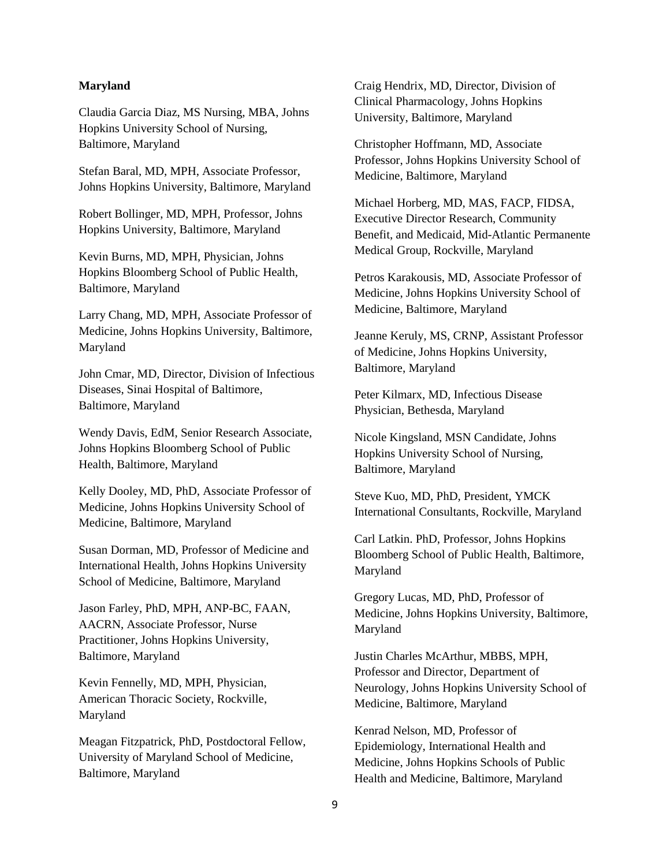#### **Maryland**

Claudia Garcia Diaz, MS Nursing, MBA, Johns Hopkins University School of Nursing, Baltimore, Maryland

Stefan Baral, MD, MPH, Associate Professor, Johns Hopkins University, Baltimore, Maryland

Robert Bollinger, MD, MPH, Professor, Johns Hopkins University, Baltimore, Maryland

Kevin Burns, MD, MPH, Physician, Johns Hopkins Bloomberg School of Public Health, Baltimore, Maryland

Larry Chang, MD, MPH, Associate Professor of Medicine, Johns Hopkins University, Baltimore, Maryland

John Cmar, MD, Director, Division of Infectious Diseases, Sinai Hospital of Baltimore, Baltimore, Maryland

Wendy Davis, EdM, Senior Research Associate, Johns Hopkins Bloomberg School of Public Health, Baltimore, Maryland

Kelly Dooley, MD, PhD, Associate Professor of Medicine, Johns Hopkins University School of Medicine, Baltimore, Maryland

Susan Dorman, MD, Professor of Medicine and International Health, Johns Hopkins University School of Medicine, Baltimore, Maryland

Jason Farley, PhD, MPH, ANP-BC, FAAN, AACRN, Associate Professor, Nurse Practitioner, Johns Hopkins University, Baltimore, Maryland

Kevin Fennelly, MD, MPH, Physician, American Thoracic Society, Rockville, Maryland

Meagan Fitzpatrick, PhD, Postdoctoral Fellow, University of Maryland School of Medicine, Baltimore, Maryland

Craig Hendrix, MD, Director, Division of Clinical Pharmacology, Johns Hopkins University, Baltimore, Maryland

Christopher Hoffmann, MD, Associate Professor, Johns Hopkins University School of Medicine, Baltimore, Maryland

Michael Horberg, MD, MAS, FACP, FIDSA, Executive Director Research, Community Benefit, and Medicaid, Mid-Atlantic Permanente Medical Group, Rockville, Maryland

Petros Karakousis, MD, Associate Professor of Medicine, Johns Hopkins University School of Medicine, Baltimore, Maryland

Jeanne Keruly, MS, CRNP, Assistant Professor of Medicine, Johns Hopkins University, Baltimore, Maryland

Peter Kilmarx, MD, Infectious Disease Physician, Bethesda, Maryland

Nicole Kingsland, MSN Candidate, Johns Hopkins University School of Nursing, Baltimore, Maryland

Steve Kuo, MD, PhD, President, YMCK International Consultants, Rockville, Maryland

Carl Latkin. PhD, Professor, Johns Hopkins Bloomberg School of Public Health, Baltimore, Maryland

Gregory Lucas, MD, PhD, Professor of Medicine, Johns Hopkins University, Baltimore, Maryland

Justin Charles McArthur, MBBS, MPH, Professor and Director, Department of Neurology, Johns Hopkins University School of Medicine, Baltimore, Maryland

Kenrad Nelson, MD, Professor of Epidemiology, International Health and Medicine, Johns Hopkins Schools of Public Health and Medicine, Baltimore, Maryland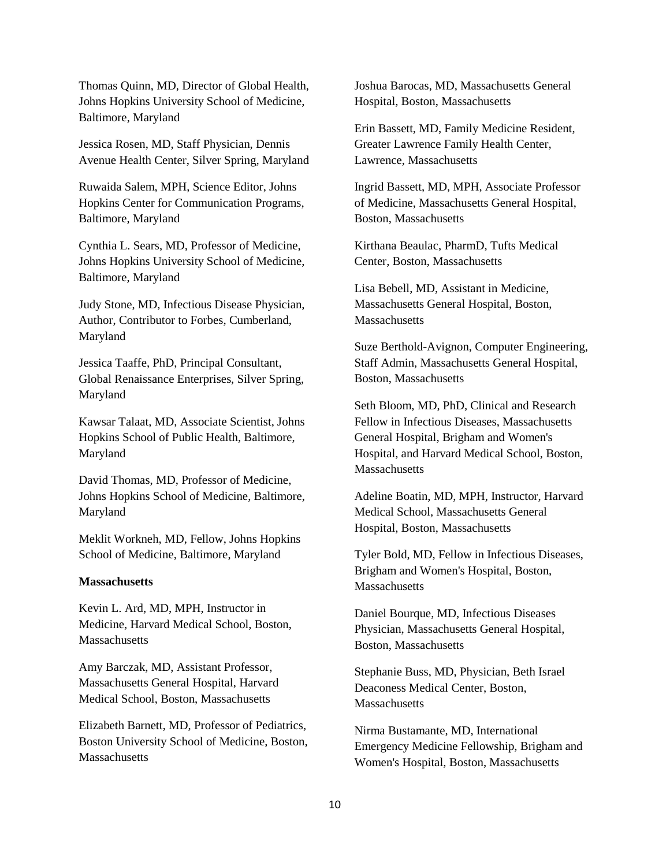Thomas Quinn, MD, Director of Global Health, Johns Hopkins University School of Medicine, Baltimore, Maryland

Jessica Rosen, MD, Staff Physician, Dennis Avenue Health Center, Silver Spring, Maryland

Ruwaida Salem, MPH, Science Editor, Johns Hopkins Center for Communication Programs, Baltimore, Maryland

Cynthia L. Sears, MD, Professor of Medicine, Johns Hopkins University School of Medicine, Baltimore, Maryland

Judy Stone, MD, Infectious Disease Physician, Author, Contributor to Forbes, Cumberland, Maryland

Jessica Taaffe, PhD, Principal Consultant, Global Renaissance Enterprises, Silver Spring, Maryland

Kawsar Talaat, MD, Associate Scientist, Johns Hopkins School of Public Health, Baltimore, Maryland

David Thomas, MD, Professor of Medicine, Johns Hopkins School of Medicine, Baltimore, Maryland

Meklit Workneh, MD, Fellow, Johns Hopkins School of Medicine, Baltimore, Maryland

### **Massachusetts**

Kevin L. Ard, MD, MPH, Instructor in Medicine, Harvard Medical School, Boston, **Massachusetts** 

Amy Barczak, MD, Assistant Professor, Massachusetts General Hospital, Harvard Medical School, Boston, Massachusetts

Elizabeth Barnett, MD, Professor of Pediatrics, Boston University School of Medicine, Boston, **Massachusetts** 

Joshua Barocas, MD, Massachusetts General Hospital, Boston, Massachusetts

Erin Bassett, MD, Family Medicine Resident, Greater Lawrence Family Health Center, Lawrence, Massachusetts

Ingrid Bassett, MD, MPH, Associate Professor of Medicine, Massachusetts General Hospital, Boston, Massachusetts

Kirthana Beaulac, PharmD, Tufts Medical Center, Boston, Massachusetts

Lisa Bebell, MD, Assistant in Medicine, Massachusetts General Hospital, Boston, **Massachusetts** 

Suze Berthold-Avignon, Computer Engineering, Staff Admin, Massachusetts General Hospital, Boston, Massachusetts

Seth Bloom, MD, PhD, Clinical and Research Fellow in Infectious Diseases, Massachusetts General Hospital, Brigham and Women's Hospital, and Harvard Medical School, Boston, **Massachusetts** 

Adeline Boatin, MD, MPH, Instructor, Harvard Medical School, Massachusetts General Hospital, Boston, Massachusetts

Tyler Bold, MD, Fellow in Infectious Diseases, Brigham and Women's Hospital, Boston, **Massachusetts** 

Daniel Bourque, MD, Infectious Diseases Physician, Massachusetts General Hospital, Boston, Massachusetts

Stephanie Buss, MD, Physician, Beth Israel Deaconess Medical Center, Boston, **Massachusetts** 

Nirma Bustamante, MD, International Emergency Medicine Fellowship, Brigham and Women's Hospital, Boston, Massachusetts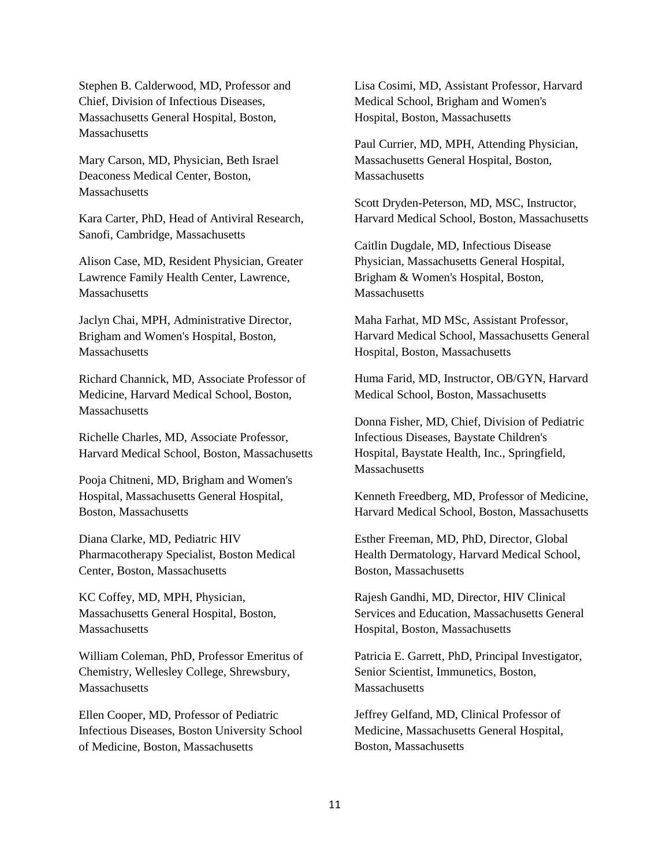Stephen B. Calderwood, MD, Professor and Chief, Division of Infectious Diseases, Massachusetts General Hospital, Boston, Massachusetts

Mary Carson, MD, Physician, Beth Israel Deaconess Medical Center, Boston, **Massachusetts** 

Kara Carter, PhD, Head of Antiviral Research, Sanofi, Cambridge, Massachusetts

Alison Case, MD, Resident Physician, Greater Lawrence Family Health Center, Lawrence, Massachusetts

Jaclyn Chai, MPH, Administrative Director, Brigham and Women's Hospital, Boston, **Massachusetts** 

Richard Channick, MD, Associate Professor of Medicine, Harvard Medical School, Boston, **Massachusetts** 

Richelle Charles, MD, Associate Professor, Harvard Medical School, Boston, Massachusetts

Pooja Chitneni, MD, Brigham and Women's Hospital, Massachusetts General Hospital, Boston, Massachusetts

Diana Clarke, MD, Pediatric HIV Pharmacotherapy Specialist, Boston Medical Center, Boston, Massachusetts

KC Coffey, MD, MPH, Physician, Massachusetts General Hospital, Boston, **Massachusetts** 

William Coleman, PhD, Professor Emeritus of Chemistry, Wellesley College, Shrewsbury, **Massachusetts** 

Ellen Cooper, MD, Professor of Pediatric Infectious Diseases, Boston University School of Medicine, Boston, Massachusetts

Lisa Cosimi, MD, Assistant Professor, Harvard Medical School, Brigham and Women's Hospital, Boston, Massachusetts

Paul Currier, MD, MPH, Attending Physician, Massachusetts General Hospital, Boston, **Massachusetts** 

Scott Dryden-Peterson, MD, MSC, Instructor, Harvard Medical School, Boston, Massachusetts

Caitlin Dugdale, MD, Infectious Disease Physician, Massachusetts General Hospital, Brigham & Women's Hospital, Boston, **Massachusetts** 

Maha Farhat, MD MSc, Assistant Professor, Harvard Medical School, Massachusetts General Hospital, Boston, Massachusetts

Huma Farid, MD, Instructor, OB/GYN, Harvard Medical School, Boston, Massachusetts

Donna Fisher, MD, Chief, Division of Pediatric Infectious Diseases, Baystate Children's Hospital, Baystate Health, Inc., Springfield, **Massachusetts** 

Kenneth Freedberg, MD, Professor of Medicine, Harvard Medical School, Boston, Massachusetts

Esther Freeman, MD, PhD, Director, Global Health Dermatology, Harvard Medical School, Boston, Massachusetts

Rajesh Gandhi, MD, Director, HIV Clinical Services and Education, Massachusetts General Hospital, Boston, Massachusetts

Patricia E. Garrett, PhD, Principal Investigator, Senior Scientist, Immunetics, Boston, **Massachusetts** 

Jeffrey Gelfand, MD, Clinical Professor of Medicine, Massachusetts General Hospital, Boston, Massachusetts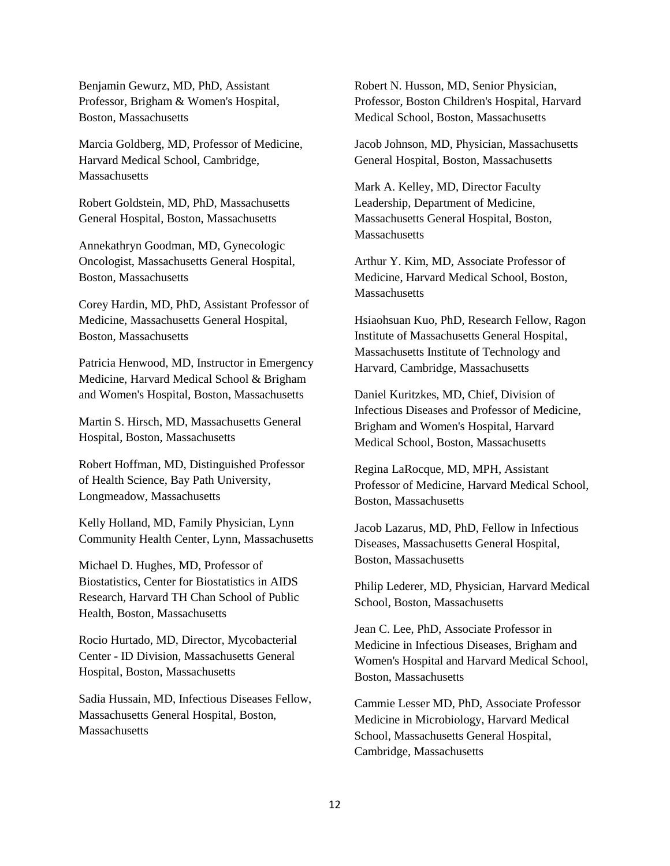Benjamin Gewurz, MD, PhD, Assistant Professor, Brigham & Women's Hospital, Boston, Massachusetts

Marcia Goldberg, MD, Professor of Medicine, Harvard Medical School, Cambridge, **Massachusetts** 

Robert Goldstein, MD, PhD, Massachusetts General Hospital, Boston, Massachusetts

Annekathryn Goodman, MD, Gynecologic Oncologist, Massachusetts General Hospital, Boston, Massachusetts

Corey Hardin, MD, PhD, Assistant Professor of Medicine, Massachusetts General Hospital, Boston, Massachusetts

Patricia Henwood, MD, Instructor in Emergency Medicine, Harvard Medical School & Brigham and Women's Hospital, Boston, Massachusetts

Martin S. Hirsch, MD, Massachusetts General Hospital, Boston, Massachusetts

Robert Hoffman, MD, Distinguished Professor of Health Science, Bay Path University, Longmeadow, Massachusetts

Kelly Holland, MD, Family Physician, Lynn Community Health Center, Lynn, Massachusetts

Michael D. Hughes, MD, Professor of Biostatistics, Center for Biostatistics in AIDS Research, Harvard TH Chan School of Public Health, Boston, Massachusetts

Rocio Hurtado, MD, Director, Mycobacterial Center - ID Division, Massachusetts General Hospital, Boston, Massachusetts

Sadia Hussain, MD, Infectious Diseases Fellow, Massachusetts General Hospital, Boston, **Massachusetts** 

Robert N. Husson, MD, Senior Physician, Professor, Boston Children's Hospital, Harvard Medical School, Boston, Massachusetts

Jacob Johnson, MD, Physician, Massachusetts General Hospital, Boston, Massachusetts

Mark A. Kelley, MD, Director Faculty Leadership, Department of Medicine, Massachusetts General Hospital, Boston, **Massachusetts** 

Arthur Y. Kim, MD, Associate Professor of Medicine, Harvard Medical School, Boston, **Massachusetts** 

Hsiaohsuan Kuo, PhD, Research Fellow, Ragon Institute of Massachusetts General Hospital, Massachusetts Institute of Technology and Harvard, Cambridge, Massachusetts

Daniel Kuritzkes, MD, Chief, Division of Infectious Diseases and Professor of Medicine, Brigham and Women's Hospital, Harvard Medical School, Boston, Massachusetts

Regina LaRocque, MD, MPH, Assistant Professor of Medicine, Harvard Medical School, Boston, Massachusetts

Jacob Lazarus, MD, PhD, Fellow in Infectious Diseases, Massachusetts General Hospital, Boston, Massachusetts

Philip Lederer, MD, Physician, Harvard Medical School, Boston, Massachusetts

Jean C. Lee, PhD, Associate Professor in Medicine in Infectious Diseases, Brigham and Women's Hospital and Harvard Medical School, Boston, Massachusetts

Cammie Lesser MD, PhD, Associate Professor Medicine in Microbiology, Harvard Medical School, Massachusetts General Hospital, Cambridge, Massachusetts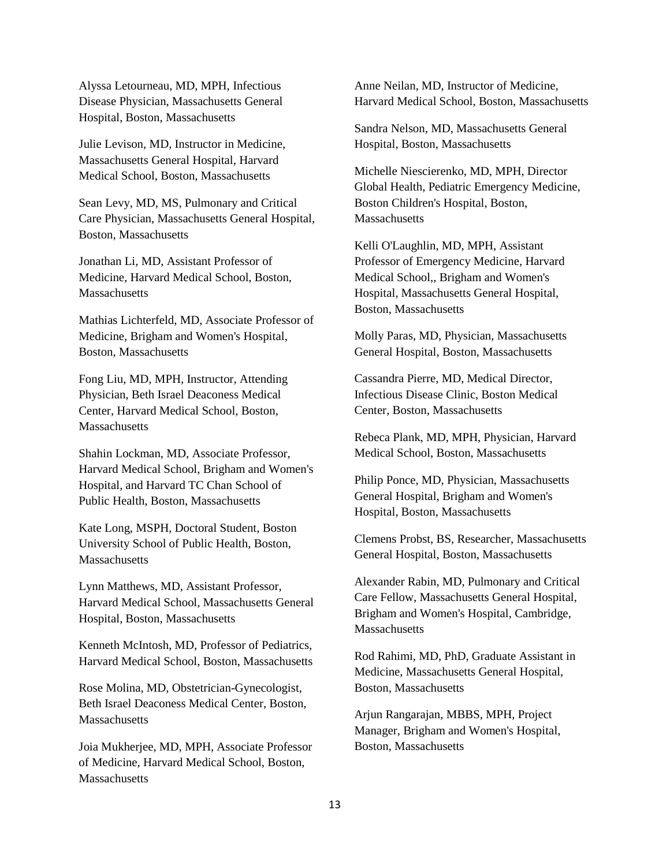Alyssa Letourneau, MD, MPH, Infectious Disease Physician, Massachusetts General Hospital, Boston, Massachusetts

Julie Levison, MD, Instructor in Medicine, Massachusetts General Hospital, Harvard Medical School, Boston, Massachusetts

Sean Levy, MD, MS, Pulmonary and Critical Care Physician, Massachusetts General Hospital, Boston, Massachusetts

Jonathan Li, MD, Assistant Professor of Medicine, Harvard Medical School, Boston, Massachusetts

Mathias Lichterfeld, MD, Associate Professor of Medicine, Brigham and Women's Hospital, Boston, Massachusetts

Fong Liu, MD, MPH, Instructor, Attending Physician, Beth Israel Deaconess Medical Center, Harvard Medical School, Boston, **Massachusetts** 

Shahin Lockman, MD, Associate Professor, Harvard Medical School, Brigham and Women's Hospital, and Harvard TC Chan School of Public Health, Boston, Massachusetts

Kate Long, MSPH, Doctoral Student, Boston University School of Public Health, Boston, **Massachusetts** 

Lynn Matthews, MD, Assistant Professor, Harvard Medical School, Massachusetts General Hospital, Boston, Massachusetts

Kenneth McIntosh, MD, Professor of Pediatrics, Harvard Medical School, Boston, Massachusetts

Rose Molina, MD, Obstetrician-Gynecologist, Beth Israel Deaconess Medical Center, Boston, Massachusetts

Joia Mukherjee, MD, MPH, Associate Professor of Medicine, Harvard Medical School, Boston, **Massachusetts** 

Anne Neilan, MD, Instructor of Medicine, Harvard Medical School, Boston, Massachusetts

Sandra Nelson, MD, Massachusetts General Hospital, Boston, Massachusetts

Michelle Niescierenko, MD, MPH, Director Global Health, Pediatric Emergency Medicine, Boston Children's Hospital, Boston, **Massachusetts** 

Kelli O'Laughlin, MD, MPH, Assistant Professor of Emergency Medicine, Harvard Medical School,, Brigham and Women's Hospital, Massachusetts General Hospital, Boston, Massachusetts

Molly Paras, MD, Physician, Massachusetts General Hospital, Boston, Massachusetts

Cassandra Pierre, MD, Medical Director, Infectious Disease Clinic, Boston Medical Center, Boston, Massachusetts

Rebeca Plank, MD, MPH, Physician, Harvard Medical School, Boston, Massachusetts

Philip Ponce, MD, Physician, Massachusetts General Hospital, Brigham and Women's Hospital, Boston, Massachusetts

Clemens Probst, BS, Researcher, Massachusetts General Hospital, Boston, Massachusetts

Alexander Rabin, MD, Pulmonary and Critical Care Fellow, Massachusetts General Hospital, Brigham and Women's Hospital, Cambridge, **Massachusetts** 

Rod Rahimi, MD, PhD, Graduate Assistant in Medicine, Massachusetts General Hospital, Boston, Massachusetts

Arjun Rangarajan, MBBS, MPH, Project Manager, Brigham and Women's Hospital, Boston, Massachusetts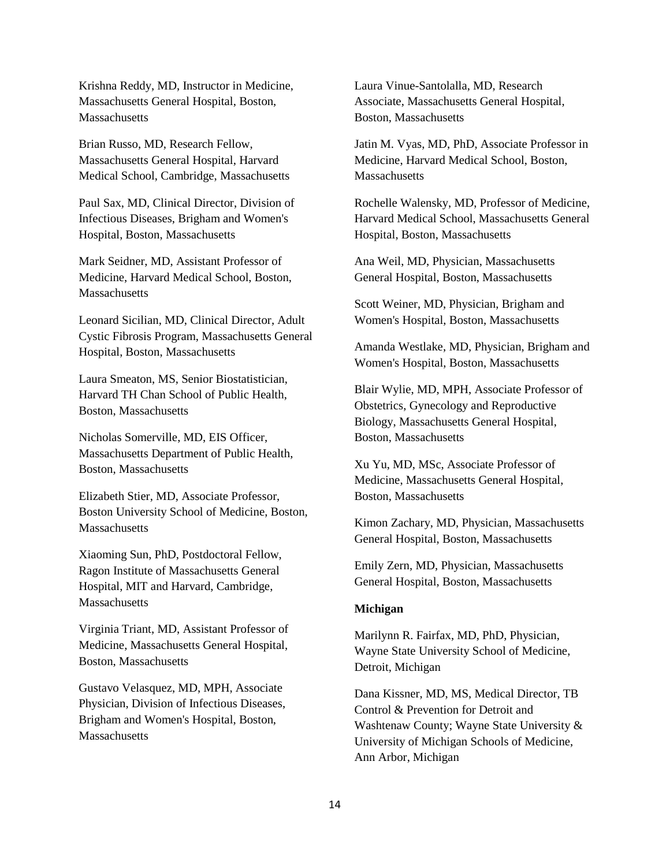Krishna Reddy, MD, Instructor in Medicine, Massachusetts General Hospital, Boston, **Massachusetts** 

Brian Russo, MD, Research Fellow, Massachusetts General Hospital, Harvard Medical School, Cambridge, Massachusetts

Paul Sax, MD, Clinical Director, Division of Infectious Diseases, Brigham and Women's Hospital, Boston, Massachusetts

Mark Seidner, MD, Assistant Professor of Medicine, Harvard Medical School, Boston, Massachusetts

Leonard Sicilian, MD, Clinical Director, Adult Cystic Fibrosis Program, Massachusetts General Hospital, Boston, Massachusetts

Laura Smeaton, MS, Senior Biostatistician, Harvard TH Chan School of Public Health, Boston, Massachusetts

Nicholas Somerville, MD, EIS Officer, Massachusetts Department of Public Health, Boston, Massachusetts

Elizabeth Stier, MD, Associate Professor, Boston University School of Medicine, Boston, Massachusetts

Xiaoming Sun, PhD, Postdoctoral Fellow, Ragon Institute of Massachusetts General Hospital, MIT and Harvard, Cambridge, Massachusetts

Virginia Triant, MD, Assistant Professor of Medicine, Massachusetts General Hospital, Boston, Massachusetts

Gustavo Velasquez, MD, MPH, Associate Physician, Division of Infectious Diseases, Brigham and Women's Hospital, Boston, **Massachusetts** 

Laura Vinue-Santolalla, MD, Research Associate, Massachusetts General Hospital, Boston, Massachusetts

Jatin M. Vyas, MD, PhD, Associate Professor in Medicine, Harvard Medical School, Boston, **Massachusetts** 

Rochelle Walensky, MD, Professor of Medicine, Harvard Medical School, Massachusetts General Hospital, Boston, Massachusetts

Ana Weil, MD, Physician, Massachusetts General Hospital, Boston, Massachusetts

Scott Weiner, MD, Physician, Brigham and Women's Hospital, Boston, Massachusetts

Amanda Westlake, MD, Physician, Brigham and Women's Hospital, Boston, Massachusetts

Blair Wylie, MD, MPH, Associate Professor of Obstetrics, Gynecology and Reproductive Biology, Massachusetts General Hospital, Boston, Massachusetts

Xu Yu, MD, MSc, Associate Professor of Medicine, Massachusetts General Hospital, Boston, Massachusetts

Kimon Zachary, MD, Physician, Massachusetts General Hospital, Boston, Massachusetts

Emily Zern, MD, Physician, Massachusetts General Hospital, Boston, Massachusetts

### **Michigan**

Marilynn R. Fairfax, MD, PhD, Physician, Wayne State University School of Medicine, Detroit, Michigan

Dana Kissner, MD, MS, Medical Director, TB Control & Prevention for Detroit and Washtenaw County; Wayne State University & University of Michigan Schools of Medicine, Ann Arbor, Michigan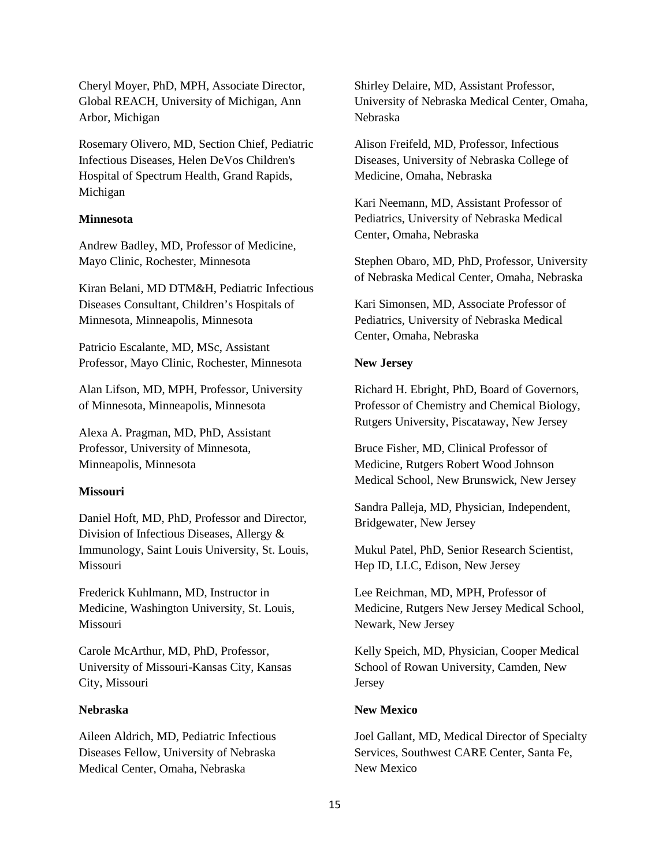Cheryl Moyer, PhD, MPH, Associate Director, Global REACH, University of Michigan, Ann Arbor, Michigan

Rosemary Olivero, MD, Section Chief, Pediatric Infectious Diseases, Helen DeVos Children's Hospital of Spectrum Health, Grand Rapids, Michigan

### **Minnesota**

Andrew Badley, MD, Professor of Medicine, Mayo Clinic, Rochester, Minnesota

Kiran Belani, MD DTM&H, Pediatric Infectious Diseases Consultant, Children's Hospitals of Minnesota, Minneapolis, Minnesota

Patricio Escalante, MD, MSc, Assistant Professor, Mayo Clinic, Rochester, Minnesota

Alan Lifson, MD, MPH, Professor, University of Minnesota, Minneapolis, Minnesota

Alexa A. Pragman, MD, PhD, Assistant Professor, University of Minnesota, Minneapolis, Minnesota

#### **Missouri**

Daniel Hoft, MD, PhD, Professor and Director, Division of Infectious Diseases, Allergy & Immunology, Saint Louis University, St. Louis, Missouri

Frederick Kuhlmann, MD, Instructor in Medicine, Washington University, St. Louis, Missouri

Carole McArthur, MD, PhD, Professor, University of Missouri-Kansas City, Kansas City, Missouri

### **Nebraska**

Aileen Aldrich, MD, Pediatric Infectious Diseases Fellow, University of Nebraska Medical Center, Omaha, Nebraska

Shirley Delaire, MD, Assistant Professor, University of Nebraska Medical Center, Omaha, Nebraska

Alison Freifeld, MD, Professor, Infectious Diseases, University of Nebraska College of Medicine, Omaha, Nebraska

Kari Neemann, MD, Assistant Professor of Pediatrics, University of Nebraska Medical Center, Omaha, Nebraska

Stephen Obaro, MD, PhD, Professor, University of Nebraska Medical Center, Omaha, Nebraska

Kari Simonsen, MD, Associate Professor of Pediatrics, University of Nebraska Medical Center, Omaha, Nebraska

#### **New Jersey**

Richard H. Ebright, PhD, Board of Governors, Professor of Chemistry and Chemical Biology, Rutgers University, Piscataway, New Jersey

Bruce Fisher, MD, Clinical Professor of Medicine, Rutgers Robert Wood Johnson Medical School, New Brunswick, New Jersey

Sandra Palleja, MD, Physician, Independent, Bridgewater, New Jersey

Mukul Patel, PhD, Senior Research Scientist, Hep ID, LLC, Edison, New Jersey

Lee Reichman, MD, MPH, Professor of Medicine, Rutgers New Jersey Medical School, Newark, New Jersey

Kelly Speich, MD, Physician, Cooper Medical School of Rowan University, Camden, New Jersey

#### **New Mexico**

Joel Gallant, MD, Medical Director of Specialty Services, Southwest CARE Center, Santa Fe, New Mexico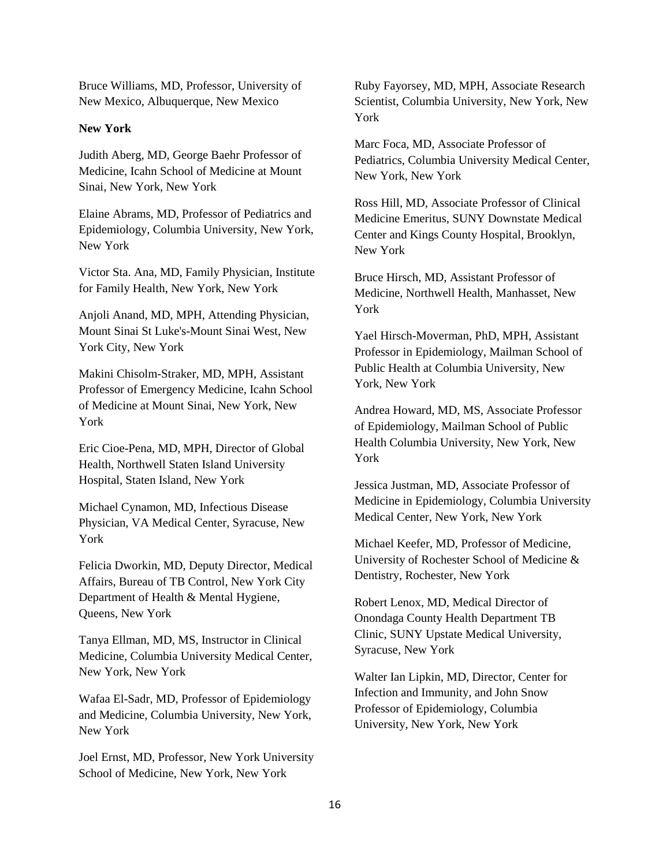Bruce Williams, MD, Professor, University of New Mexico, Albuquerque, New Mexico

### **New York**

Judith Aberg, MD, George Baehr Professor of Medicine, Icahn School of Medicine at Mount Sinai, New York, New York

Elaine Abrams, MD, Professor of Pediatrics and Epidemiology, Columbia University, New York, New York

Victor Sta. Ana, MD, Family Physician, Institute for Family Health, New York, New York

Anjoli Anand, MD, MPH, Attending Physician, Mount Sinai St Luke's-Mount Sinai West, New York City, New York

Makini Chisolm-Straker, MD, MPH, Assistant Professor of Emergency Medicine, Icahn School of Medicine at Mount Sinai, New York, New York

Eric Cioe-Pena, MD, MPH, Director of Global Health, Northwell Staten Island University Hospital, Staten Island, New York

Michael Cynamon, MD, Infectious Disease Physician, VA Medical Center, Syracuse, New York

Felicia Dworkin, MD, Deputy Director, Medical Affairs, Bureau of TB Control, New York City Department of Health & Mental Hygiene, Queens, New York

Tanya Ellman, MD, MS, Instructor in Clinical Medicine, Columbia University Medical Center, New York, New York

Wafaa El-Sadr, MD, Professor of Epidemiology and Medicine, Columbia University, New York, New York

Joel Ernst, MD, Professor, New York University School of Medicine, New York, New York

Ruby Fayorsey, MD, MPH, Associate Research Scientist, Columbia University, New York, New York

Marc Foca, MD, Associate Professor of Pediatrics, Columbia University Medical Center, New York, New York

Ross Hill, MD, Associate Professor of Clinical Medicine Emeritus, SUNY Downstate Medical Center and Kings County Hospital, Brooklyn, New York

Bruce Hirsch, MD, Assistant Professor of Medicine, Northwell Health, Manhasset, New York

Yael Hirsch-Moverman, PhD, MPH, Assistant Professor in Epidemiology, Mailman School of Public Health at Columbia University, New York, New York

Andrea Howard, MD, MS, Associate Professor of Epidemiology, Mailman School of Public Health Columbia University, New York, New York

Jessica Justman, MD, Associate Professor of Medicine in Epidemiology, Columbia University Medical Center, New York, New York

Michael Keefer, MD, Professor of Medicine, University of Rochester School of Medicine & Dentistry, Rochester, New York

Robert Lenox, MD, Medical Director of Onondaga County Health Department TB Clinic, SUNY Upstate Medical University, Syracuse, New York

Walter Ian Lipkin, MD, Director, Center for Infection and Immunity, and John Snow Professor of Epidemiology, Columbia University, New York, New York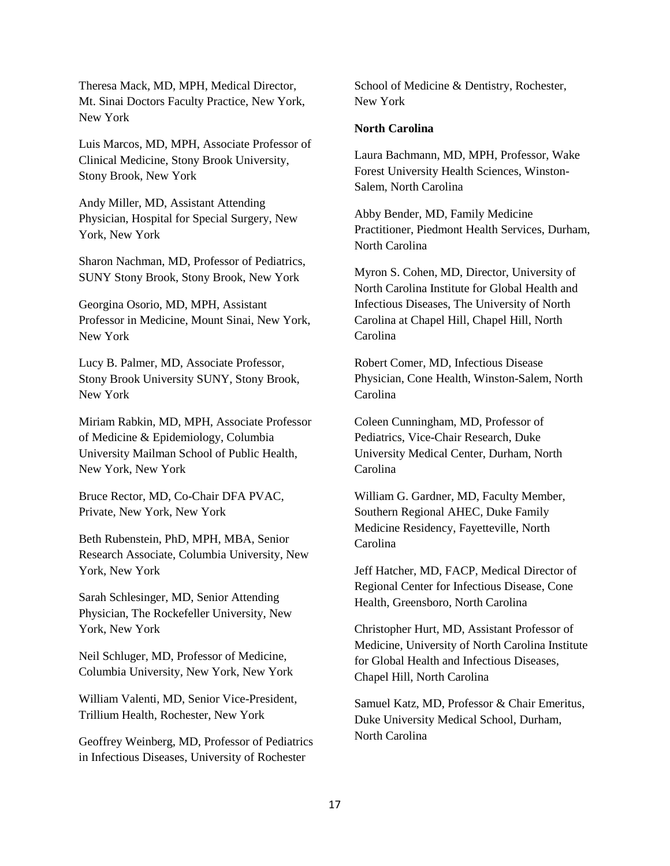Theresa Mack, MD, MPH, Medical Director, Mt. Sinai Doctors Faculty Practice, New York, New York

Luis Marcos, MD, MPH, Associate Professor of Clinical Medicine, Stony Brook University, Stony Brook, New York

Andy Miller, MD, Assistant Attending Physician, Hospital for Special Surgery, New York, New York

Sharon Nachman, MD, Professor of Pediatrics, SUNY Stony Brook, Stony Brook, New York

Georgina Osorio, MD, MPH, Assistant Professor in Medicine, Mount Sinai, New York, New York

Lucy B. Palmer, MD, Associate Professor, Stony Brook University SUNY, Stony Brook, New York

Miriam Rabkin, MD, MPH, Associate Professor of Medicine & Epidemiology, Columbia University Mailman School of Public Health, New York, New York

Bruce Rector, MD, Co-Chair DFA PVAC, Private, New York, New York

Beth Rubenstein, PhD, MPH, MBA, Senior Research Associate, Columbia University, New York, New York

Sarah Schlesinger, MD, Senior Attending Physician, The Rockefeller University, New York, New York

Neil Schluger, MD, Professor of Medicine, Columbia University, New York, New York

William Valenti, MD, Senior Vice-President, Trillium Health, Rochester, New York

Geoffrey Weinberg, MD, Professor of Pediatrics in Infectious Diseases, University of Rochester

School of Medicine & Dentistry, Rochester, New York

# **North Carolina**

Laura Bachmann, MD, MPH, Professor, Wake Forest University Health Sciences, Winston-Salem, North Carolina

Abby Bender, MD, Family Medicine Practitioner, Piedmont Health Services, Durham, North Carolina

Myron S. Cohen, MD, Director, University of North Carolina Institute for Global Health and Infectious Diseases, The University of North Carolina at Chapel Hill, Chapel Hill, North Carolina

Robert Comer, MD, Infectious Disease Physician, Cone Health, Winston-Salem, North Carolina

Coleen Cunningham, MD, Professor of Pediatrics, Vice-Chair Research, Duke University Medical Center, Durham, North Carolina

William G. Gardner, MD, Faculty Member, Southern Regional AHEC, Duke Family Medicine Residency, Fayetteville, North Carolina

Jeff Hatcher, MD, FACP, Medical Director of Regional Center for Infectious Disease, Cone Health, Greensboro, North Carolina

Christopher Hurt, MD, Assistant Professor of Medicine, University of North Carolina Institute for Global Health and Infectious Diseases, Chapel Hill, North Carolina

Samuel Katz, MD, Professor & Chair Emeritus, Duke University Medical School, Durham, North Carolina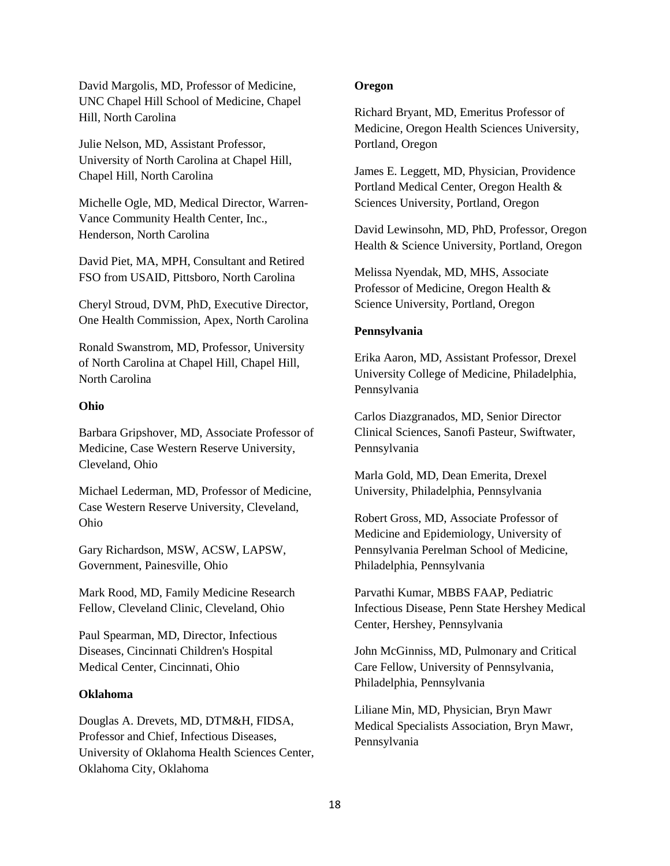David Margolis, MD, Professor of Medicine, UNC Chapel Hill School of Medicine, Chapel Hill, North Carolina

Julie Nelson, MD, Assistant Professor, University of North Carolina at Chapel Hill, Chapel Hill, North Carolina

Michelle Ogle, MD, Medical Director, Warren-Vance Community Health Center, Inc., Henderson, North Carolina

David Piet, MA, MPH, Consultant and Retired FSO from USAID, Pittsboro, North Carolina

Cheryl Stroud, DVM, PhD, Executive Director, One Health Commission, Apex, North Carolina

Ronald Swanstrom, MD, Professor, University of North Carolina at Chapel Hill, Chapel Hill, North Carolina

## **Ohio**

Barbara Gripshover, MD, Associate Professor of Medicine, Case Western Reserve University, Cleveland, Ohio

Michael Lederman, MD, Professor of Medicine, Case Western Reserve University, Cleveland, Ohio

Gary Richardson, MSW, ACSW, LAPSW, Government, Painesville, Ohio

Mark Rood, MD, Family Medicine Research Fellow, Cleveland Clinic, Cleveland, Ohio

Paul Spearman, MD, Director, Infectious Diseases, Cincinnati Children's Hospital Medical Center, Cincinnati, Ohio

# **Oklahoma**

Douglas A. Drevets, MD, DTM&H, FIDSA, Professor and Chief, Infectious Diseases, University of Oklahoma Health Sciences Center, Oklahoma City, Oklahoma

### **Oregon**

Richard Bryant, MD, Emeritus Professor of Medicine, Oregon Health Sciences University, Portland, Oregon

James E. Leggett, MD, Physician, Providence Portland Medical Center, Oregon Health & Sciences University, Portland, Oregon

David Lewinsohn, MD, PhD, Professor, Oregon Health & Science University, Portland, Oregon

Melissa Nyendak, MD, MHS, Associate Professor of Medicine, Oregon Health & Science University, Portland, Oregon

## **Pennsylvania**

Erika Aaron, MD, Assistant Professor, Drexel University College of Medicine, Philadelphia, Pennsylvania

Carlos Diazgranados, MD, Senior Director Clinical Sciences, Sanofi Pasteur, Swiftwater, Pennsylvania

Marla Gold, MD, Dean Emerita, Drexel University, Philadelphia, Pennsylvania

Robert Gross, MD, Associate Professor of Medicine and Epidemiology, University of Pennsylvania Perelman School of Medicine, Philadelphia, Pennsylvania

Parvathi Kumar, MBBS FAAP, Pediatric Infectious Disease, Penn State Hershey Medical Center, Hershey, Pennsylvania

John McGinniss, MD, Pulmonary and Critical Care Fellow, University of Pennsylvania, Philadelphia, Pennsylvania

Liliane Min, MD, Physician, Bryn Mawr Medical Specialists Association, Bryn Mawr, Pennsylvania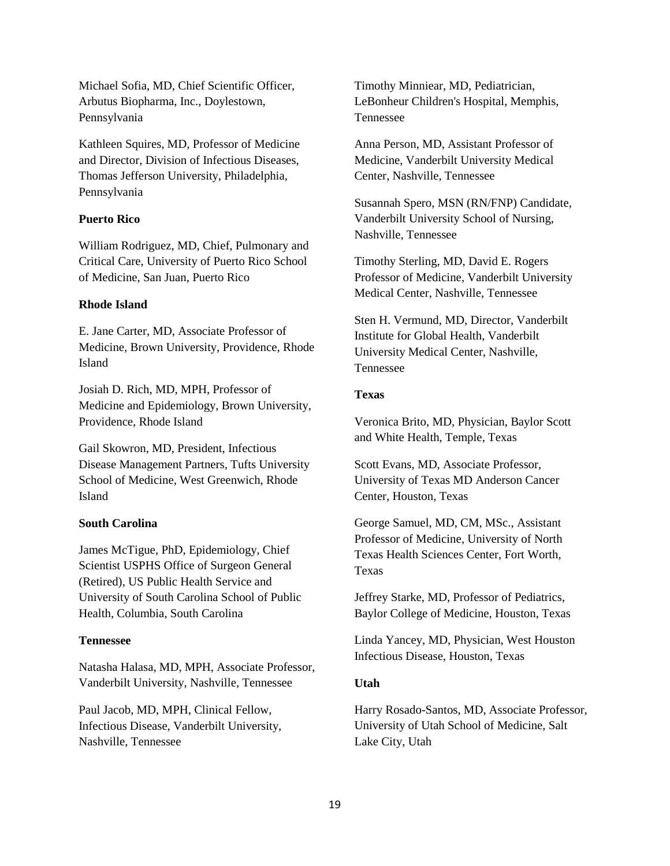Michael Sofia, MD, Chief Scientific Officer, Arbutus Biopharma, Inc., Doylestown, Pennsylvania

Kathleen Squires, MD, Professor of Medicine and Director, Division of Infectious Diseases, Thomas Jefferson University, Philadelphia, Pennsylvania

### **Puerto Rico**

William Rodriguez, MD, Chief, Pulmonary and Critical Care, University of Puerto Rico School of Medicine, San Juan, Puerto Rico

### **Rhode Island**

E. Jane Carter, MD, Associate Professor of Medicine, Brown University, Providence, Rhode Island

Josiah D. Rich, MD, MPH, Professor of Medicine and Epidemiology, Brown University, Providence, Rhode Island

Gail Skowron, MD, President, Infectious Disease Management Partners, Tufts University School of Medicine, West Greenwich, Rhode Island

# **South Carolina**

James McTigue, PhD, Epidemiology, Chief Scientist USPHS Office of Surgeon General (Retired), US Public Health Service and University of South Carolina School of Public Health, Columbia, South Carolina

## **Tennessee**

Natasha Halasa, MD, MPH, Associate Professor, Vanderbilt University, Nashville, Tennessee

Paul Jacob, MD, MPH, Clinical Fellow, Infectious Disease, Vanderbilt University, Nashville, Tennessee

Timothy Minniear, MD, Pediatrician, LeBonheur Children's Hospital, Memphis, Tennessee

Anna Person, MD, Assistant Professor of Medicine, Vanderbilt University Medical Center, Nashville, Tennessee

Susannah Spero, MSN (RN/FNP) Candidate, Vanderbilt University School of Nursing, Nashville, Tennessee

Timothy Sterling, MD, David E. Rogers Professor of Medicine, Vanderbilt University Medical Center, Nashville, Tennessee

Sten H. Vermund, MD, Director, Vanderbilt Institute for Global Health, Vanderbilt University Medical Center, Nashville, Tennessee

#### **Texas**

Veronica Brito, MD, Physician, Baylor Scott and White Health, Temple, Texas

Scott Evans, MD, Associate Professor, University of Texas MD Anderson Cancer Center, Houston, Texas

George Samuel, MD, CM, MSc., Assistant Professor of Medicine, University of North Texas Health Sciences Center, Fort Worth, Texas

Jeffrey Starke, MD, Professor of Pediatrics, Baylor College of Medicine, Houston, Texas

Linda Yancey, MD, Physician, West Houston Infectious Disease, Houston, Texas

#### **Utah**

Harry Rosado-Santos, MD, Associate Professor, University of Utah School of Medicine, Salt Lake City, Utah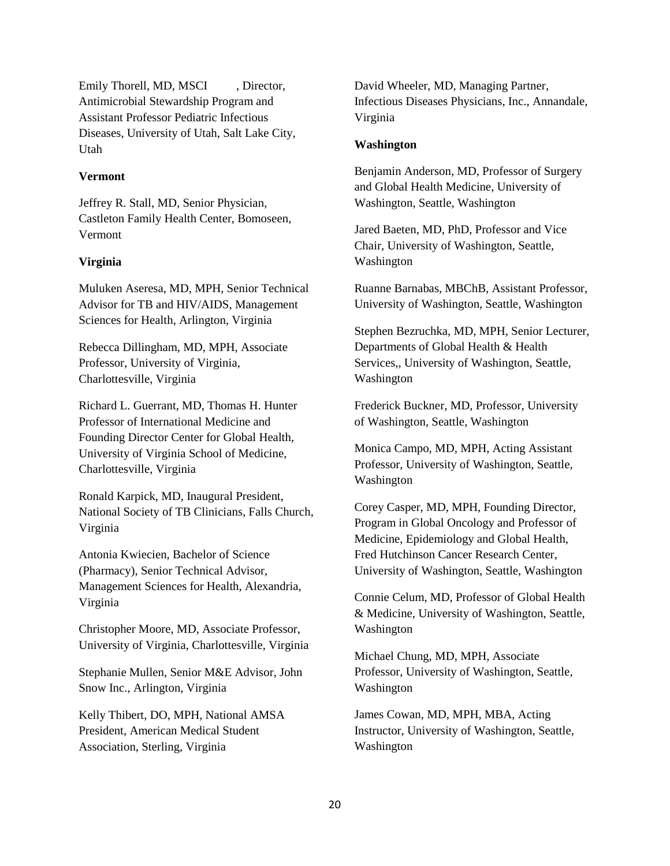Emily Thorell, MD, MSCI , Director, Antimicrobial Stewardship Program and Assistant Professor Pediatric Infectious Diseases, University of Utah, Salt Lake City, Utah

### **Vermont**

Jeffrey R. Stall, MD, Senior Physician, Castleton Family Health Center, Bomoseen, Vermont

## **Virginia**

Muluken Aseresa, MD, MPH, Senior Technical Advisor for TB and HIV/AIDS, Management Sciences for Health, Arlington, Virginia

Rebecca Dillingham, MD, MPH, Associate Professor, University of Virginia, Charlottesville, Virginia

Richard L. Guerrant, MD, Thomas H. Hunter Professor of International Medicine and Founding Director Center for Global Health, University of Virginia School of Medicine, Charlottesville, Virginia

Ronald Karpick, MD, Inaugural President, National Society of TB Clinicians, Falls Church, Virginia

Antonia Kwiecien, Bachelor of Science (Pharmacy), Senior Technical Advisor, Management Sciences for Health, Alexandria, Virginia

Christopher Moore, MD, Associate Professor, University of Virginia, Charlottesville, Virginia

Stephanie Mullen, Senior M&E Advisor, John Snow Inc., Arlington, Virginia

Kelly Thibert, DO, MPH, National AMSA President, American Medical Student Association, Sterling, Virginia

David Wheeler, MD, Managing Partner, Infectious Diseases Physicians, Inc., Annandale, Virginia

#### **Washington**

Benjamin Anderson, MD, Professor of Surgery and Global Health Medicine, University of Washington, Seattle, Washington

Jared Baeten, MD, PhD, Professor and Vice Chair, University of Washington, Seattle, Washington

Ruanne Barnabas, MBChB, Assistant Professor, University of Washington, Seattle, Washington

Stephen Bezruchka, MD, MPH, Senior Lecturer, Departments of Global Health & Health Services,, University of Washington, Seattle, Washington

Frederick Buckner, MD, Professor, University of Washington, Seattle, Washington

Monica Campo, MD, MPH, Acting Assistant Professor, University of Washington, Seattle, Washington

Corey Casper, MD, MPH, Founding Director, Program in Global Oncology and Professor of Medicine, Epidemiology and Global Health, Fred Hutchinson Cancer Research Center, University of Washington, Seattle, Washington

Connie Celum, MD, Professor of Global Health & Medicine, University of Washington, Seattle, Washington

Michael Chung, MD, MPH, Associate Professor, University of Washington, Seattle, Washington

James Cowan, MD, MPH, MBA, Acting Instructor, University of Washington, Seattle, Washington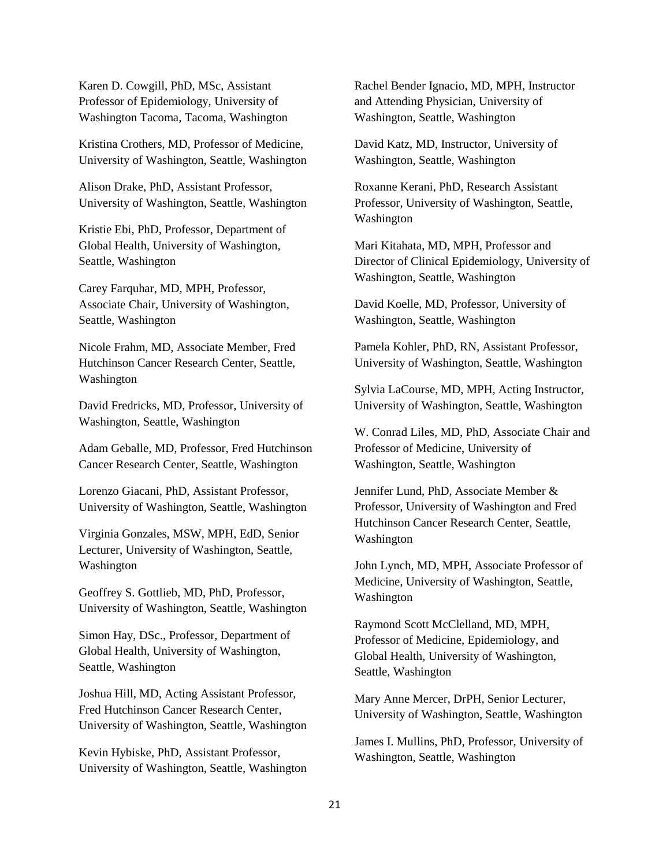Karen D. Cowgill, PhD, MSc, Assistant Professor of Epidemiology, University of Washington Tacoma, Tacoma, Washington

Kristina Crothers, MD, Professor of Medicine, University of Washington, Seattle, Washington

Alison Drake, PhD, Assistant Professor, University of Washington, Seattle, Washington

Kristie Ebi, PhD, Professor, Department of Global Health, University of Washington, Seattle, Washington

Carey Farquhar, MD, MPH, Professor, Associate Chair, University of Washington, Seattle, Washington

Nicole Frahm, MD, Associate Member, Fred Hutchinson Cancer Research Center, Seattle, Washington

David Fredricks, MD, Professor, University of Washington, Seattle, Washington

Adam Geballe, MD, Professor, Fred Hutchinson Cancer Research Center, Seattle, Washington

Lorenzo Giacani, PhD, Assistant Professor, University of Washington, Seattle, Washington

Virginia Gonzales, MSW, MPH, EdD, Senior Lecturer, University of Washington, Seattle, Washington

Geoffrey S. Gottlieb, MD, PhD, Professor, University of Washington, Seattle, Washington

Simon Hay, DSc., Professor, Department of Global Health, University of Washington, Seattle, Washington

Joshua Hill, MD, Acting Assistant Professor, Fred Hutchinson Cancer Research Center, University of Washington, Seattle, Washington

Kevin Hybiske, PhD, Assistant Professor, University of Washington, Seattle, Washington Rachel Bender Ignacio, MD, MPH, Instructor and Attending Physician, University of Washington, Seattle, Washington

David Katz, MD, Instructor, University of Washington, Seattle, Washington

Roxanne Kerani, PhD, Research Assistant Professor, University of Washington, Seattle, Washington

Mari Kitahata, MD, MPH, Professor and Director of Clinical Epidemiology, University of Washington, Seattle, Washington

David Koelle, MD, Professor, University of Washington, Seattle, Washington

Pamela Kohler, PhD, RN, Assistant Professor, University of Washington, Seattle, Washington

Sylvia LaCourse, MD, MPH, Acting Instructor, University of Washington, Seattle, Washington

W. Conrad Liles, MD, PhD, Associate Chair and Professor of Medicine, University of Washington, Seattle, Washington

Jennifer Lund, PhD, Associate Member & Professor, University of Washington and Fred Hutchinson Cancer Research Center, Seattle, Washington

John Lynch, MD, MPH, Associate Professor of Medicine, University of Washington, Seattle, Washington

Raymond Scott McClelland, MD, MPH, Professor of Medicine, Epidemiology, and Global Health, University of Washington, Seattle, Washington

Mary Anne Mercer, DrPH, Senior Lecturer, University of Washington, Seattle, Washington

James I. Mullins, PhD, Professor, University of Washington, Seattle, Washington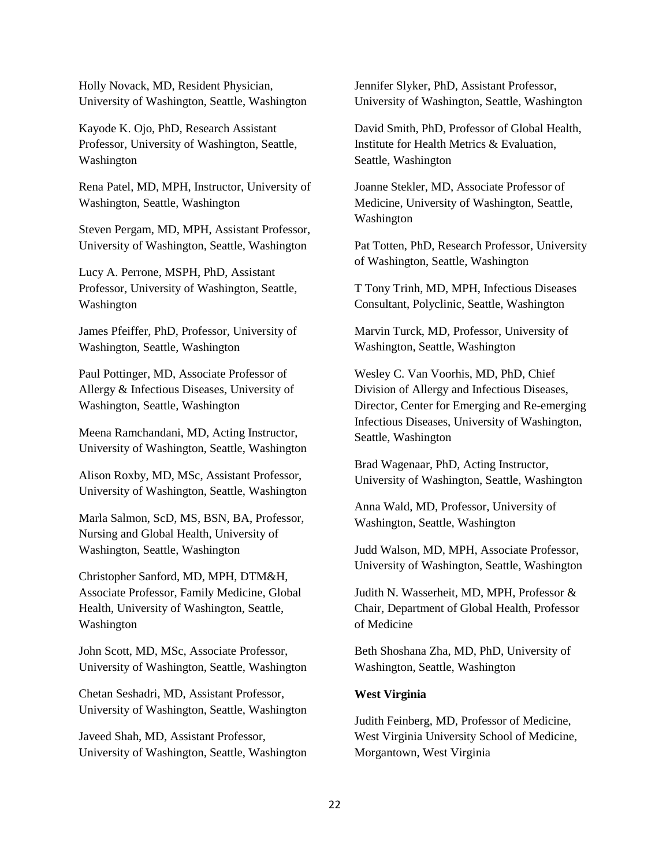Holly Novack, MD, Resident Physician, University of Washington, Seattle, Washington

Kayode K. Ojo, PhD, Research Assistant Professor, University of Washington, Seattle, Washington

Rena Patel, MD, MPH, Instructor, University of Washington, Seattle, Washington

Steven Pergam, MD, MPH, Assistant Professor, University of Washington, Seattle, Washington

Lucy A. Perrone, MSPH, PhD, Assistant Professor, University of Washington, Seattle, Washington

James Pfeiffer, PhD, Professor, University of Washington, Seattle, Washington

Paul Pottinger, MD, Associate Professor of Allergy & Infectious Diseases, University of Washington, Seattle, Washington

Meena Ramchandani, MD, Acting Instructor, University of Washington, Seattle, Washington

Alison Roxby, MD, MSc, Assistant Professor, University of Washington, Seattle, Washington

Marla Salmon, ScD, MS, BSN, BA, Professor, Nursing and Global Health, University of Washington, Seattle, Washington

Christopher Sanford, MD, MPH, DTM&H, Associate Professor, Family Medicine, Global Health, University of Washington, Seattle, Washington

John Scott, MD, MSc, Associate Professor, University of Washington, Seattle, Washington

Chetan Seshadri, MD, Assistant Professor, University of Washington, Seattle, Washington

Javeed Shah, MD, Assistant Professor, University of Washington, Seattle, Washington Jennifer Slyker, PhD, Assistant Professor, University of Washington, Seattle, Washington

David Smith, PhD, Professor of Global Health, Institute for Health Metrics & Evaluation, Seattle, Washington

Joanne Stekler, MD, Associate Professor of Medicine, University of Washington, Seattle, Washington

Pat Totten, PhD, Research Professor, University of Washington, Seattle, Washington

T Tony Trinh, MD, MPH, Infectious Diseases Consultant, Polyclinic, Seattle, Washington

Marvin Turck, MD, Professor, University of Washington, Seattle, Washington

Wesley C. Van Voorhis, MD, PhD, Chief Division of Allergy and Infectious Diseases, Director, Center for Emerging and Re-emerging Infectious Diseases, University of Washington, Seattle, Washington

Brad Wagenaar, PhD, Acting Instructor, University of Washington, Seattle, Washington

Anna Wald, MD, Professor, University of Washington, Seattle, Washington

Judd Walson, MD, MPH, Associate Professor, University of Washington, Seattle, Washington

Judith N. Wasserheit, MD, MPH, Professor & Chair, Department of Global Health, Professor of Medicine

Beth Shoshana Zha, MD, PhD, University of Washington, Seattle, Washington

## **West Virginia**

Judith Feinberg, MD, Professor of Medicine, West Virginia University School of Medicine, Morgantown, West Virginia